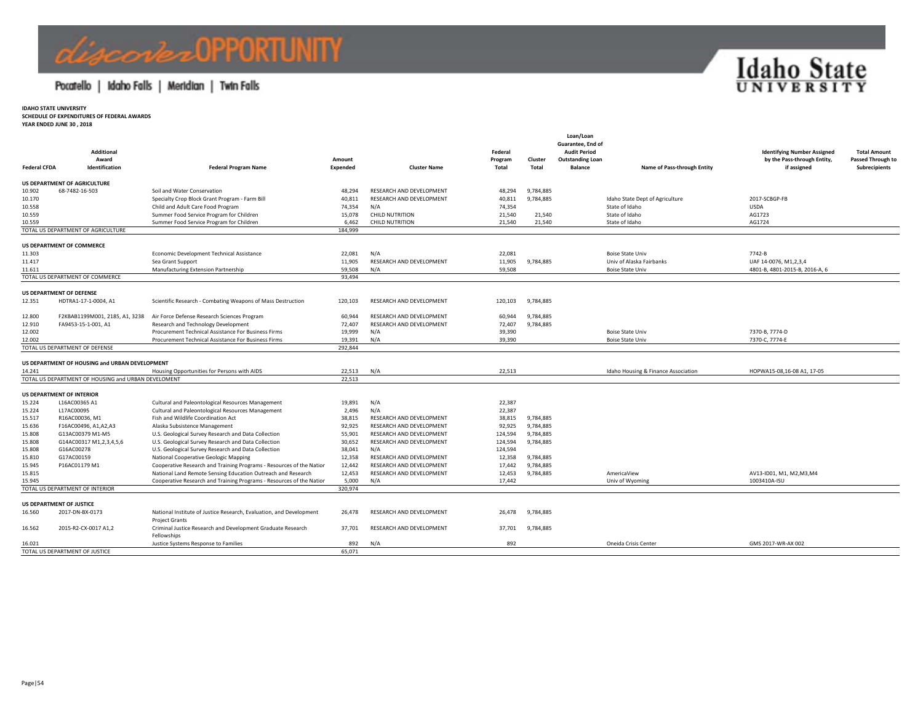# Acorder OPPORTUNITY

### Pocatello | Idaho Falls | Meridian | Twin Falls



**IDAHO STATE UNIVERSITY**

**SCHEDULE OF EXPENDITURES OF FEDERAL AWARDS**

**YEAR ENDED JUNE 30 , 2018**

|                     | <b>Additional</b>                                   |                                                                                              |                    |                          | Federal          |                  | Guarantee, End of<br><b>Audit Period</b>  |                                     | <b>Identifying Number Assigned</b>         | <b>Total Amount</b>                |
|---------------------|-----------------------------------------------------|----------------------------------------------------------------------------------------------|--------------------|--------------------------|------------------|------------------|-------------------------------------------|-------------------------------------|--------------------------------------------|------------------------------------|
| <b>Federal CFDA</b> | Award<br>Identification                             | <b>Federal Program Name</b>                                                                  | Amount<br>Expended | <b>Cluster Name</b>      | Program<br>Total | Cluster<br>Total | <b>Outstanding Loan</b><br><b>Balance</b> | Name of Pass-through Entity         | by the Pass-through Entity,<br>if assigned | Passed Through to<br>Subrecipients |
|                     | <b>US DEPARTMENT OF AGRICULTURE</b>                 |                                                                                              |                    |                          |                  |                  |                                           |                                     |                                            |                                    |
| 10.902              | 68-7482-16-503                                      | Soil and Water Conservation                                                                  | 48,294             | RESEARCH AND DEVELOPMENT | 48,294           | 9,784,885        |                                           |                                     |                                            |                                    |
| 10.170              |                                                     | Specialty Crop Block Grant Program - Farm Bill                                               | 40,811             | RESEARCH AND DEVELOPMENT | 40,811           | 9,784,885        |                                           | Idaho State Dept of Agriculture     | 2017-SCBGP-FB                              |                                    |
| 10.558              |                                                     | Child and Adult Care Food Program                                                            | 74,354             | N/A                      | 74,354           |                  |                                           | State of Idaho                      | <b>USDA</b>                                |                                    |
| 10.559              |                                                     | Summer Food Service Program for Children                                                     | 15,078             | <b>CHILD NUTRITION</b>   | 21,540           | 21,540           |                                           | State of Idaho                      | AG1723                                     |                                    |
| 10.559              |                                                     | Summer Food Service Program for Children                                                     | 6.462              | <b>CHILD NUTRITION</b>   | 21,540           | 21,540           |                                           | State of Idaho                      | AG1724                                     |                                    |
|                     | TOTAL US DEPARTMENT OF AGRICULTURE                  |                                                                                              | 184.999            |                          |                  |                  |                                           |                                     |                                            |                                    |
|                     |                                                     |                                                                                              |                    |                          |                  |                  |                                           |                                     |                                            |                                    |
|                     | <b>US DEPARTMENT OF COMMERCE</b>                    |                                                                                              |                    |                          |                  |                  |                                           |                                     |                                            |                                    |
| 11.303              |                                                     | Economic Development Technical Assistance                                                    | 22,081             | N/A                      | 22,081           |                  |                                           | <b>Boise State Univ</b>             | 7742-B                                     |                                    |
| 11.417              |                                                     | Sea Grant Support                                                                            | 11,905             | RESEARCH AND DEVELOPMENT | 11,905           | 9,784,885        |                                           | Univ of Alaska Fairbanks            | UAF 14-0076, M1,2,3,4                      |                                    |
| 11.611              |                                                     | Manufacturing Extension Partnership                                                          | 59,508             | N/A                      | 59,508           |                  |                                           | <b>Boise State Univ</b>             | 4801-B, 4801-2015-B, 2016-A, 6             |                                    |
|                     | TOTAL US DEPARTMENT OF COMMERCE                     |                                                                                              | 93.494             |                          |                  |                  |                                           |                                     |                                            |                                    |
|                     | <b>US DEPARTMENT OF DEFENSE</b>                     |                                                                                              |                    |                          |                  |                  |                                           |                                     |                                            |                                    |
| 12.351              | HDTRA1-17-1-0004, A1                                | Scientific Research - Combating Weapons of Mass Destruction                                  | 120,103            | RESEARCH AND DEVELOPMENT | 120,103          | 9,784,885        |                                           |                                     |                                            |                                    |
| 12.800              | F2KBAB1199M001, 2185, A1, 3238                      | Air Force Defense Research Sciences Program                                                  | 60,944             | RESEARCH AND DEVELOPMENT | 60,944           | 9,784,885        |                                           |                                     |                                            |                                    |
| 12.910              | FA9453-15-1-001, A1                                 | Research and Technology Development                                                          | 72,407             | RESEARCH AND DEVELOPMENT | 72,407           | 9,784,885        |                                           |                                     |                                            |                                    |
| 12.002              |                                                     | Procurement Technical Assistance For Business Firms                                          | 19,999             | N/A                      | 39,390           |                  |                                           | <b>Boise State Univ</b>             | 7370-B, 7774-D                             |                                    |
| 12.002              |                                                     | Procurement Technical Assistance For Business Firms                                          | 19.391             | N/A                      | 39,390           |                  |                                           | <b>Boise State Univ</b>             | 7370-C, 7774-E                             |                                    |
|                     | TOTAL US DEPARTMENT OF DEFENSE                      |                                                                                              | 292,844            |                          |                  |                  |                                           |                                     |                                            |                                    |
|                     |                                                     |                                                                                              |                    |                          |                  |                  |                                           |                                     |                                            |                                    |
| 14.241              | US DEPARTMENT OF HOUSING and URBAN DEVELOPMENT      |                                                                                              | 22,513             | N/A                      | 22,513           |                  |                                           | Idaho Housing & Finance Association | HOPWA15-08,16-08 A1, 17-05                 |                                    |
|                     | TOTAL US DEPARTMENT OF HOUSING and URBAN DEVELOMENT | Housing Opportunities for Persons with AIDS                                                  | 22,513             |                          |                  |                  |                                           |                                     |                                            |                                    |
|                     |                                                     |                                                                                              |                    |                          |                  |                  |                                           |                                     |                                            |                                    |
|                     | <b>US DEPARTMENT OF INTERIOR</b>                    |                                                                                              |                    |                          |                  |                  |                                           |                                     |                                            |                                    |
| 15.224              | L16AC00365 A1                                       | Cultural and Paleontological Resources Management                                            | 19,891             | N/A                      | 22,387           |                  |                                           |                                     |                                            |                                    |
| 15.224              | L17AC00095                                          | Cultural and Paleontological Resources Management                                            | 2,496              | N/A                      | 22,387           |                  |                                           |                                     |                                            |                                    |
| 15.517              | R16AC00036, M1                                      | Fish and Wildlife Coordination Act                                                           | 38,815             | RESEARCH AND DEVELOPMENT | 38,815           | 9,784,885        |                                           |                                     |                                            |                                    |
| 15.636              | F16AC00496, A1, A2, A3                              | Alaska Subsistence Management                                                                | 92.925             | RESEARCH AND DEVELOPMENT | 92,925           | 9,784,885        |                                           |                                     |                                            |                                    |
| 15.808              | G13AC00379 M1-M5                                    | U.S. Geological Survey Research and Data Collection                                          | 55,901             | RESEARCH AND DEVELOPMENT | 124,594          | 9,784,885        |                                           |                                     |                                            |                                    |
| 15.808              | G14AC00317 M1,2,3,4,5,6                             | U.S. Geological Survey Research and Data Collection                                          | 30,652             | RESEARCH AND DEVELOPMENT | 124,594          | 9,784,885        |                                           |                                     |                                            |                                    |
| 15.808              | G16AC00278                                          | U.S. Geological Survey Research and Data Collection                                          | 38,041             | N/A                      | 124,594          |                  |                                           |                                     |                                            |                                    |
| 15.810              | G17AC00159                                          | National Cooperative Geologic Mapping                                                        | 12,358             | RESEARCH AND DEVELOPMENT | 12,358           | 9,784,885        |                                           |                                     |                                            |                                    |
| 15.945              | P16AC01179 M1                                       | Cooperative Research and Training Programs - Resources of the Nation                         | 12,442             | RESEARCH AND DEVELOPMENT | 17,442           | 9,784,885        |                                           |                                     |                                            |                                    |
| 15.815              |                                                     | National Land Remote Sensing Education Outreach and Research                                 | 12,453             | RESEARCH AND DEVELOPMENT | 12,453           | 9,784,885        |                                           | AmericaView                         | AV13-ID01, M1, M2, M3, M4                  |                                    |
| 15.945              |                                                     | Cooperative Research and Training Programs - Resources of the Nation                         | 5,000              | N/A                      | 17,442           |                  |                                           | Univ of Wyoming                     | 1003410A-ISU                               |                                    |
|                     | TOTAL US DEPARTMENT OF INTERIOR                     |                                                                                              | 320.974            |                          |                  |                  |                                           |                                     |                                            |                                    |
|                     | <b>US DEPARTMENT OF JUSTICE</b>                     |                                                                                              |                    |                          |                  |                  |                                           |                                     |                                            |                                    |
| 16.560              | 2017-DN-BX-0173                                     | National Institute of Justice Research, Evaluation, and Development<br><b>Project Grants</b> | 26.478             | RESEARCH AND DEVELOPMENT | 26,478           | 9,784,885        |                                           |                                     |                                            |                                    |
| 16.562              | 2015-R2-CX-0017 A1.2                                | Criminal Justice Research and Development Graduate Research                                  | 37.701             | RESEARCH AND DEVELOPMENT | 37,701           | 9,784,885        |                                           |                                     |                                            |                                    |
|                     |                                                     | Fellowships                                                                                  |                    |                          |                  |                  |                                           |                                     |                                            |                                    |
| 16.021              |                                                     | Justice Systems Response to Families                                                         | 892                | N/A                      | 892              |                  |                                           | Oneida Crisis Center                | GMS 2017-WR-AX 002                         |                                    |
|                     | TOTAL US DEPARTMENT OF JUSTICE                      |                                                                                              | 65,071             |                          |                  |                  |                                           |                                     |                                            |                                    |

**Loan/Loan**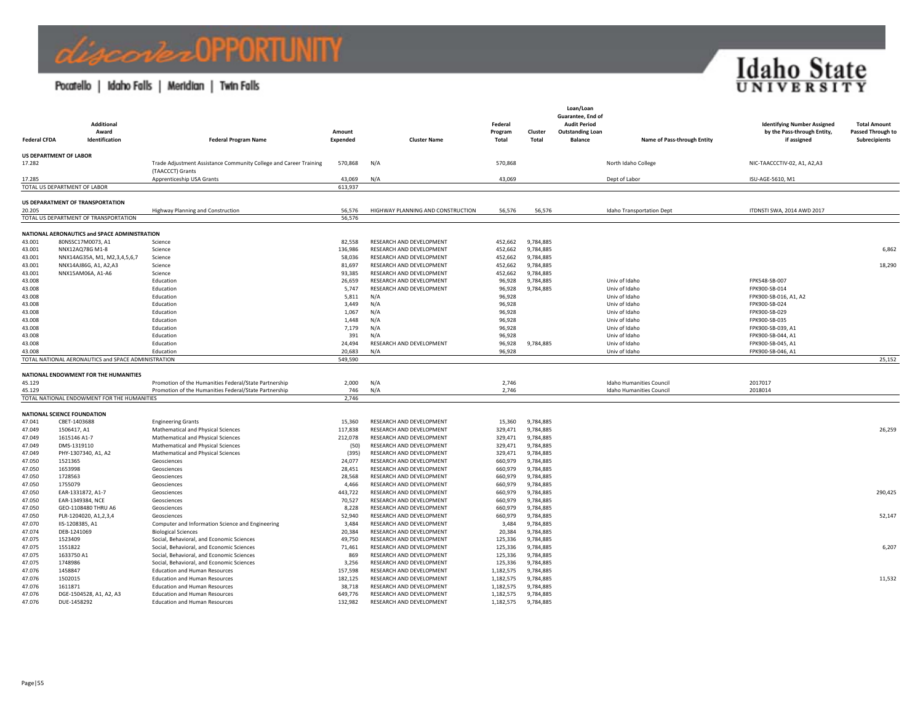## *Combel* DPPORTUNITY

### Pocatello | Idaho Falls | Meridian | Twin Falls



| <b>Federal CFDA</b> | Additional<br>Award<br>Identification               | <b>Federal Program Name</b>                                                                                    | Amount<br>Expended | <b>Cluster Name</b>                                  | Federal<br>Program<br>Total | Cluster<br><b>Total</b> | Loan/Loan<br>Guarantee, End of<br><b>Audit Period</b><br><b>Outstanding Loan</b><br><b>Balance</b> | Name of Pass-through Entity                                        | <b>Identifying Number Assigned</b><br>by the Pass-through Entity,<br>if assigned | <b>Total Amount</b><br>Passed Through to<br><b>Subrecipients</b> |
|---------------------|-----------------------------------------------------|----------------------------------------------------------------------------------------------------------------|--------------------|------------------------------------------------------|-----------------------------|-------------------------|----------------------------------------------------------------------------------------------------|--------------------------------------------------------------------|----------------------------------------------------------------------------------|------------------------------------------------------------------|
|                     |                                                     |                                                                                                                |                    |                                                      |                             |                         |                                                                                                    |                                                                    |                                                                                  |                                                                  |
| 17.282              | <b>US DEPARTMENT OF LABOR</b>                       | Trade Adjustment Assistance Community College and Career Training<br>(TAACCCT) Grants                          | 570,868            | N/A                                                  | 570,868                     |                         |                                                                                                    | North Idaho College                                                | NIC-TAACCCTIV-02, A1, A2,A3                                                      |                                                                  |
| 17.285              |                                                     | Apprenticeship USA Grants                                                                                      | 43,069             | N/A                                                  | 43,069                      |                         |                                                                                                    | Dept of Labor                                                      | ISU-AGE-5610, M1                                                                 |                                                                  |
|                     | TOTAL US DEPARTMENT OF LABOR                        |                                                                                                                | 613,937            |                                                      |                             |                         |                                                                                                    |                                                                    |                                                                                  |                                                                  |
|                     | US DEPARATMENT OF TRANSPORTATION                    |                                                                                                                |                    |                                                      |                             |                         |                                                                                                    |                                                                    |                                                                                  |                                                                  |
| 20.205              | TOTAL US DEPARTMENT OF TRANSPORTATION               | Highway Planning and Construction                                                                              | 56,576<br>56,576   | HIGHWAY PLANNING AND CONSTRUCTION                    | 56,576                      | 56,576                  |                                                                                                    | <b>Idaho Transportation Dept</b>                                   | ITDNSTI SWA, 2014 AWD 2017                                                       |                                                                  |
|                     |                                                     |                                                                                                                |                    |                                                      |                             |                         |                                                                                                    |                                                                    |                                                                                  |                                                                  |
|                     | NATIONAL AERONAUTICS and SPACE ADMINISTRATION       |                                                                                                                |                    |                                                      |                             |                         |                                                                                                    |                                                                    |                                                                                  |                                                                  |
| 43.001              | 80NSSC17M0073, A1                                   | Science                                                                                                        | 82,558             | RESEARCH AND DEVELOPMENT                             | 452,662                     | 9,784,885               |                                                                                                    |                                                                    |                                                                                  |                                                                  |
| 43.001<br>43.001    | NNX12AQ78G M1-8<br>NNX14AG35A, M1, M2,3,4,5,6,7     | Science<br>Science                                                                                             | 136,986<br>58,036  | RESEARCH AND DEVELOPMENT<br>RESEARCH AND DEVELOPMENT | 452,662<br>452,662          | 9,784,885<br>9,784,885  |                                                                                                    |                                                                    |                                                                                  | 6,862                                                            |
| 43.001              | NNX14AJ86G, A1, A2, A3                              | Science                                                                                                        | 81,697             | RESEARCH AND DEVELOPMENT                             | 452,662                     | 9,784,885               |                                                                                                    |                                                                    |                                                                                  | 18,290                                                           |
| 43.001              | NNX15AM06A, A1-A6                                   | Science                                                                                                        | 93,385             | RESEARCH AND DEVELOPMENT                             | 452,662                     | 9,784,885               |                                                                                                    |                                                                    |                                                                                  |                                                                  |
| 43.008              |                                                     | Education                                                                                                      | 26,659             | RESEARCH AND DEVELOPMENT                             | 96,928                      | 9,784,885               |                                                                                                    | Univ of Idaho                                                      | FPK548-SB-007                                                                    |                                                                  |
| 43.008              |                                                     | Education                                                                                                      | 5,747              | RESEARCH AND DEVELOPMENT                             | 96,928                      | 9,784,885               |                                                                                                    | Univ of Idaho                                                      | FPK900-SB-014                                                                    |                                                                  |
| 43.008              |                                                     | Education                                                                                                      | 5,811              | N/A                                                  | 96,928                      |                         |                                                                                                    | Univ of Idaho                                                      | FPK900-SB-016, A1, A2                                                            |                                                                  |
| 43.008              |                                                     | Education                                                                                                      | 3,449              | N/A                                                  | 96,928                      |                         |                                                                                                    | Univ of Idaho                                                      | FPK900-SB-024                                                                    |                                                                  |
| 43.008<br>43.008    |                                                     | Education                                                                                                      | 1,067<br>1,448     | N/A<br>N/A                                           | 96,928<br>96,928            |                         |                                                                                                    | Univ of Idaho<br>Univ of Idaho                                     | FPK900-SB-029<br>FPK900-SB-035                                                   |                                                                  |
| 43.008              |                                                     | Education<br>Education                                                                                         | 7,179              | N/A                                                  | 96,928                      |                         |                                                                                                    | Univ of Idaho                                                      | FPK900-SB-039, A1                                                                |                                                                  |
| 43.008              |                                                     | Education                                                                                                      | 391                | N/A                                                  | 96,928                      |                         |                                                                                                    | Univ of Idaho                                                      | FPK900-SB-044, A1                                                                |                                                                  |
| 43.008              |                                                     | Education                                                                                                      | 24.494             | RESEARCH AND DEVELOPMENT                             | 96,928                      | 9,784,885               |                                                                                                    | Univ of Idaho                                                      | FPK900-SB-045, A1                                                                |                                                                  |
| 43.008              |                                                     | Education                                                                                                      | 20,683             | N/A                                                  | 96,928                      |                         |                                                                                                    | Univ of Idaho                                                      | FPK900-SB-046, A1                                                                |                                                                  |
|                     | TOTAL NATIONAL AERONAUTICS and SPACE ADMINISTRATION |                                                                                                                | 549,590            |                                                      |                             |                         |                                                                                                    |                                                                    |                                                                                  | 25,152                                                           |
|                     |                                                     |                                                                                                                |                    |                                                      |                             |                         |                                                                                                    |                                                                    |                                                                                  |                                                                  |
|                     | NATIONAL ENDOWMENT FOR THE HUMANITIES               |                                                                                                                |                    |                                                      |                             |                         |                                                                                                    |                                                                    |                                                                                  |                                                                  |
| 45.129<br>45.129    |                                                     | Promotion of the Humanities Federal/State Partnership<br>Promotion of the Humanities Federal/State Partnership | 2,000<br>746       | N/A<br>N/A                                           | 2,746<br>2,746              |                         |                                                                                                    | <b>Idaho Humanities Council</b><br><b>Idaho Humanities Council</b> | 2017017<br>2018014                                                               |                                                                  |
|                     | TOTAL NATIONAL ENDOWMENT FOR THE HUMANITIES         |                                                                                                                | 2,746              |                                                      |                             |                         |                                                                                                    |                                                                    |                                                                                  |                                                                  |
|                     |                                                     |                                                                                                                |                    |                                                      |                             |                         |                                                                                                    |                                                                    |                                                                                  |                                                                  |
|                     | <b>NATIONAL SCIENCE FOUNDATION</b>                  |                                                                                                                |                    |                                                      |                             |                         |                                                                                                    |                                                                    |                                                                                  |                                                                  |
| 47.041              | CBET-1403688                                        | <b>Engineering Grants</b>                                                                                      | 15,360             | RESEARCH AND DEVELOPMENT                             | 15,360                      | 9,784,885               |                                                                                                    |                                                                    |                                                                                  |                                                                  |
| 47.049              | 1506417, A1                                         | Mathematical and Physical Sciences                                                                             | 117,838            | RESEARCH AND DEVELOPMENT                             | 329,471                     | 9,784,885               |                                                                                                    |                                                                    |                                                                                  | 26,259                                                           |
| 47.049              | 1615146 A1-7                                        | Mathematical and Physical Sciences                                                                             | 212,078            | RESEARCH AND DEVELOPMENT                             | 329,471                     | 9,784,885               |                                                                                                    |                                                                    |                                                                                  |                                                                  |
| 47.049<br>47.049    | DMS-1319110<br>PHY-1307340, A1, A2                  | Mathematical and Physical Sciences<br>Mathematical and Physical Sciences                                       | (50)<br>(395)      | RESEARCH AND DEVELOPMENT<br>RESEARCH AND DEVELOPMENT | 329,471<br>329,471          | 9,784,885<br>9,784,885  |                                                                                                    |                                                                    |                                                                                  |                                                                  |
| 47.050              | 1521365                                             | Geosciences                                                                                                    | 24,077             | RESEARCH AND DEVELOPMENT                             | 660,979                     | 9,784,885               |                                                                                                    |                                                                    |                                                                                  |                                                                  |
| 47.050              | 1653998                                             | Geosciences                                                                                                    | 28,451             | RESEARCH AND DEVELOPMENT                             | 660,979                     | 9,784,885               |                                                                                                    |                                                                    |                                                                                  |                                                                  |
| 47.050              | 1728563                                             | Geosciences                                                                                                    | 28,568             | RESEARCH AND DEVELOPMENT                             | 660,979                     | 9,784,885               |                                                                                                    |                                                                    |                                                                                  |                                                                  |
| 47.050              | 1755079                                             | Geosciences                                                                                                    | 4.466              | RESEARCH AND DEVELOPMENT                             | 660,979                     | 9,784,885               |                                                                                                    |                                                                    |                                                                                  |                                                                  |
| 47.050              | EAR-1331872, A1-7                                   | Geosciences                                                                                                    | 443,722            | RESEARCH AND DEVELOPMENT                             | 660,979                     | 9,784,885               |                                                                                                    |                                                                    |                                                                                  | 290,425                                                          |
| 47.050              | EAR-1349384, NCE                                    | Geosciences                                                                                                    | 70,527             | RESEARCH AND DEVELOPMENT                             | 660,979                     | 9,784,885               |                                                                                                    |                                                                    |                                                                                  |                                                                  |
| 47.050              | GEO-1108480 THRU A6                                 | Geosciences                                                                                                    | 8,228              | RESEARCH AND DEVELOPMENT                             | 660,979                     | 9,784,885               |                                                                                                    |                                                                    |                                                                                  |                                                                  |
| 47.050              | PLR-1204020, A1,2,3,4                               | Geosciences                                                                                                    | 52,940             | RESEARCH AND DEVELOPMENT                             | 660,979                     | 9,784,885               |                                                                                                    |                                                                    |                                                                                  | 52,147                                                           |
| 47.070              | IIS-1208385, A1                                     | Computer and Information Science and Engineering                                                               | 3,484              | RESEARCH AND DEVELOPMENT                             | 3,484                       | 9,784,885               |                                                                                                    |                                                                    |                                                                                  |                                                                  |
| 47.074              | DEB-1241069                                         | <b>Biological Sciences</b>                                                                                     | 20,384             | RESEARCH AND DEVELOPMENT                             | 20,384                      | 9,784,885               |                                                                                                    |                                                                    |                                                                                  |                                                                  |
| 47.075              | 1523409                                             | Social, Behavioral, and Economic Sciences                                                                      | 49,750<br>71,461   | RESEARCH AND DEVELOPMENT                             | 125,336                     | 9,784,885               |                                                                                                    |                                                                    |                                                                                  |                                                                  |
| 47.075<br>47.075    | 1551822<br>1633750 A1                               | Social, Behavioral, and Economic Sciences<br>Social, Behavioral, and Economic Sciences                         | 869                | RESEARCH AND DEVELOPMENT<br>RESEARCH AND DEVELOPMENT | 125,336<br>125,336          | 9,784,885<br>9,784,885  |                                                                                                    |                                                                    |                                                                                  | 6,207                                                            |
| 47.075              | 1748986                                             | Social, Behavioral, and Economic Sciences                                                                      | 3,256              | RESEARCH AND DEVELOPMENT                             | 125,336                     | 9,784,885               |                                                                                                    |                                                                    |                                                                                  |                                                                  |
| 47.076              | 1458847                                             | <b>Education and Human Resources</b>                                                                           | 157,598            | RESEARCH AND DEVELOPMENT                             | 1,182,575                   | 9,784,885               |                                                                                                    |                                                                    |                                                                                  |                                                                  |
| 47.076              | 1502015                                             | <b>Education and Human Resources</b>                                                                           | 182,125            | RESEARCH AND DEVELOPMENT                             | 1,182,575                   | 9,784,885               |                                                                                                    |                                                                    |                                                                                  | 11,532                                                           |
| 47.076              | 1611871                                             | <b>Education and Human Resources</b>                                                                           | 38,718             | RESEARCH AND DEVELOPMENT                             | 1,182,575                   | 9,784,885               |                                                                                                    |                                                                    |                                                                                  |                                                                  |
| 47.076              | DGE-1504528, A1, A2, A3                             | <b>Education and Human Resources</b>                                                                           | 649,776            | RESEARCH AND DEVELOPMENT                             | 1,182,575                   | 9,784,885               |                                                                                                    |                                                                    |                                                                                  |                                                                  |
| 47.076              | DUE-1458292                                         | <b>Education and Human Resources</b>                                                                           | 132,982            | RESEARCH AND DEVELOPMENT                             | 1,182,575                   | 9,784,885               |                                                                                                    |                                                                    |                                                                                  |                                                                  |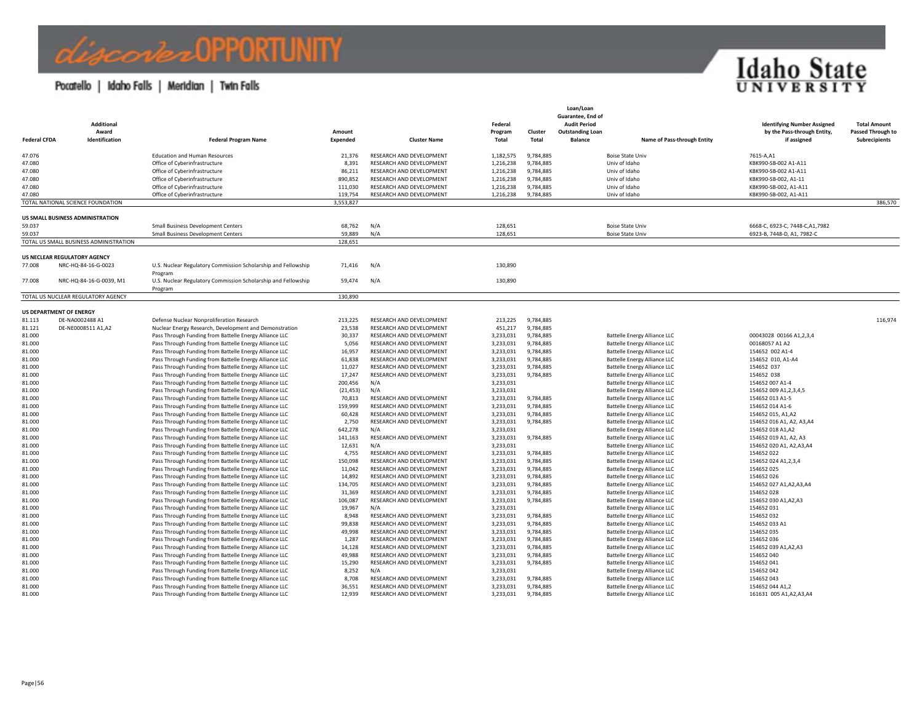### *Ciscorte* & OPPORTUNITY

### Pocatello | Idaho Falls | Meridian | Twin Falls



| <b>Federal CFDA</b> | <b>Additional</b><br>Award<br>Identification        | <b>Federal Program Name</b>                                              | Amount<br>Expended   | <b>Cluster Name</b>      | Federal<br>Program<br>Total | Cluster<br>Total | Loan/Loan<br>Guarantee, End of<br><b>Audit Period</b><br><b>Outstanding Loan</b><br><b>Balance</b><br>Name of Pass-through Entity | <b>Identifying Number Assigned</b><br>by the Pass-through Entity,<br>if assigned | <b>Total Amount</b><br>Passed Through to<br>Subrecipients |
|---------------------|-----------------------------------------------------|--------------------------------------------------------------------------|----------------------|--------------------------|-----------------------------|------------------|-----------------------------------------------------------------------------------------------------------------------------------|----------------------------------------------------------------------------------|-----------------------------------------------------------|
| 47.076              |                                                     | <b>Education and Human Resources</b>                                     | 21,376               | RESEARCH AND DEVELOPMENT | 1,182,575                   | 9,784,885        | <b>Boise State Univ</b>                                                                                                           | 7615-A,A1                                                                        |                                                           |
| 47.080              |                                                     | Office of Cyberinfrastructure                                            | 8.391                | RESEARCH AND DEVELOPMENT | 1,216,238                   | 9.784.885        | Univ of Idaho                                                                                                                     | KBK990-SB-002 A1-A11                                                             |                                                           |
| 47.080              |                                                     | Office of Cyberinfrastructure                                            | 86,211               | RESEARCH AND DEVELOPMENT | 1,216,238                   | 9,784,885        | Univ of Idaho                                                                                                                     | KBK990-SB-002 A1-A11                                                             |                                                           |
| 47.080              |                                                     | Office of Cyberinfrastructure                                            | 890,852              | RESEARCH AND DEVELOPMENT | 1,216,238                   | 9,784,885        | Univ of Idaho                                                                                                                     | KBK990-SB-002, A1-11                                                             |                                                           |
| 47.080              |                                                     | Office of Cyberinfrastructure                                            | 111,030              | RESEARCH AND DEVELOPMENT | 1,216,238                   | 9,784,885        | Univ of Idaho                                                                                                                     | KBK990-SB-002, A1-A11                                                            |                                                           |
| 47.080              | TOTAL NATIONAL SCIENCE FOUNDATION                   | Office of Cyberinfrastructure                                            | 119.754<br>3,553,827 | RESEARCH AND DEVELOPMENT | 1,216,238                   | 9,784,885        | Univ of Idaho                                                                                                                     | KBK990-SB-002, A1-A11                                                            | 386,570                                                   |
|                     |                                                     |                                                                          |                      |                          |                             |                  |                                                                                                                                   |                                                                                  |                                                           |
| 59.037              | US SMALL BUSINESS ADMINISTRATION                    | Small Business Development Centers                                       | 68,762               | N/A                      | 128,651                     |                  | <b>Boise State Univ</b>                                                                                                           | 6668-C, 6923-C, 7448-C, A1, 7982                                                 |                                                           |
| 59.037              |                                                     | Small Business Development Centers                                       | 59.889               | N/A                      | 128,651                     |                  | <b>Boise State Univ</b>                                                                                                           | 6923-B, 7448-D, A1, 7982-C                                                       |                                                           |
|                     | TOTAL US SMALL BUSINESS ADMINISTRATION              |                                                                          | 128,651              |                          |                             |                  |                                                                                                                                   |                                                                                  |                                                           |
|                     |                                                     |                                                                          |                      |                          |                             |                  |                                                                                                                                   |                                                                                  |                                                           |
| 77.008              | US NECLEAR REGULATORY AGENCY<br>NRC-HQ-84-16-G-0023 | U.S. Nuclear Regulatory Commission Scholarship and Fellowship            | 71,416               | N/A                      | 130,890                     |                  |                                                                                                                                   |                                                                                  |                                                           |
| 77.008              | NRC-HQ-84-16-G-0039, M1                             | Program<br>U.S. Nuclear Regulatory Commission Scholarship and Fellowship | 59,474               | N/A                      | 130,890                     |                  |                                                                                                                                   |                                                                                  |                                                           |
|                     |                                                     | Program                                                                  |                      |                          |                             |                  |                                                                                                                                   |                                                                                  |                                                           |
|                     | TOTAL US NUCLEAR REGULATORY AGENCY                  |                                                                          | 130,890              |                          |                             |                  |                                                                                                                                   |                                                                                  |                                                           |
|                     | <b>US DEPARTMENT OF ENERGY</b>                      |                                                                          |                      |                          |                             |                  |                                                                                                                                   |                                                                                  |                                                           |
| 81.113              | DE-NA0002488 A1                                     | Defense Nuclear Nonproliferation Research                                | 213,225              | RESEARCH AND DEVELOPMENT | 213,225                     | 9,784,885        |                                                                                                                                   |                                                                                  | 116,974                                                   |
| 81.121              | DE-NE0008511 A1,A2                                  | Nuclear Energy Research, Development and Demonstration                   | 23,538               | RESEARCH AND DEVELOPMENT | 451,217                     | 9,784,885        |                                                                                                                                   |                                                                                  |                                                           |
| 81.000              |                                                     | Pass Through Funding from Battelle Energy Alliance LLC                   | 30,337               | RESEARCH AND DEVELOPMENT | 3,233,031                   | 9,784,885        | <b>Battelle Energy Alliance LLC</b>                                                                                               | 00043028 00166 A1,2,3,4                                                          |                                                           |
| 81,000              |                                                     | Pass Through Funding from Battelle Energy Alliance LLC                   | 5.056                | RESEARCH AND DEVELOPMENT | 3,233,031                   | 9,784,885        | <b>Battelle Energy Alliance LLC</b>                                                                                               | 00168057 A1 A2                                                                   |                                                           |
| 81.000              |                                                     | Pass Through Funding from Battelle Energy Alliance LLC                   | 16,957               | RESEARCH AND DEVELOPMENT | 3,233,031                   | 9,784,885        | Battelle Energy Alliance LLC                                                                                                      | 154652 002 A1-4                                                                  |                                                           |
| 81.000              |                                                     | Pass Through Funding from Battelle Energy Alliance LLC                   | 61,838               | RESEARCH AND DEVELOPMENT | 3,233,031                   | 9,784,885        | <b>Battelle Energy Alliance LLC</b>                                                                                               | 154652 010, A1-A4                                                                |                                                           |
| 81.000              |                                                     | Pass Through Funding from Battelle Energy Alliance LLC                   | 11,027               | RESEARCH AND DEVELOPMENT | 3,233,031                   | 9,784,885        | <b>Battelle Energy Alliance LLC</b>                                                                                               | 154652 037                                                                       |                                                           |
| 81.000              |                                                     | Pass Through Funding from Battelle Energy Alliance LLC                   | 17,247               | RESEARCH AND DEVELOPMENT | 3,233,031                   | 9,784,885        | <b>Battelle Energy Alliance LLC</b>                                                                                               | 154652 038                                                                       |                                                           |
| 81,000              |                                                     | Pass Through Funding from Battelle Energy Alliance LLC                   | 200,456              | N/A                      | 3,233,031                   |                  | Battelle Energy Alliance LLC                                                                                                      | 154652 007 A1-4                                                                  |                                                           |
| 81.000              |                                                     | Pass Through Funding from Battelle Energy Alliance LLC                   | (21, 453)            | N/A                      | 3,233,031                   |                  | <b>Battelle Energy Alliance LLC</b>                                                                                               | 154652 009 A1, 2, 3, 4, 5                                                        |                                                           |
| 81.000              |                                                     | Pass Through Funding from Battelle Energy Alliance LLC                   | 70,813               | RESEARCH AND DEVELOPMENT | 3,233,031                   | 9,784,885        | <b>Battelle Energy Alliance LLC</b>                                                                                               | 154652 013 A1-5                                                                  |                                                           |
| 81.000              |                                                     | Pass Through Funding from Battelle Energy Alliance LLC                   | 159,999              | RESEARCH AND DEVELOPMENT | 3,233,031                   | 9,784,885        | <b>Battelle Energy Alliance LLC</b>                                                                                               | 154652 014 A1-6                                                                  |                                                           |
| 81,000              |                                                     | Pass Through Funding from Battelle Energy Alliance LLC                   | 60.428               | RESEARCH AND DEVELOPMENT | 3,233,031                   | 9,784,885        | <b>Battelle Energy Alliance LLC</b>                                                                                               | 154652 015, A1.A2                                                                |                                                           |
| 81.000              |                                                     | Pass Through Funding from Battelle Energy Alliance LLC                   | 2,750                | RESEARCH AND DEVELOPMENT | 3,233,031                   | 9,784,885        | Battelle Energy Alliance LLC                                                                                                      | 154652 016 A1, A2, A3,A4                                                         |                                                           |
| 81.000              |                                                     | Pass Through Funding from Battelle Energy Alliance LLC                   | 642,278              | N/A                      | 3,233,031                   |                  | <b>Battelle Energy Alliance LLC</b>                                                                                               | 154652 018 A1,A2                                                                 |                                                           |
| 81.000              |                                                     | Pass Through Funding from Battelle Energy Alliance LLC                   | 141,163              | RESEARCH AND DEVELOPMENT | 3,233,031                   | 9,784,885        | <b>Battelle Energy Alliance LLC</b>                                                                                               | 154652 019 A1, A2, A3                                                            |                                                           |
| 81.000              |                                                     | Pass Through Funding from Battelle Energy Alliance LLC                   | 12,631               | N/A                      | 3,233,031                   |                  | <b>Battelle Energy Alliance LLC</b>                                                                                               | 154652 020 A1, A2, A3, A4                                                        |                                                           |
| 81,000              |                                                     | Pass Through Funding from Battelle Energy Alliance LLC                   | 4,755                | RESEARCH AND DEVELOPMENT | 3,233,031                   | 9,784,885        | Battelle Energy Alliance LLC                                                                                                      | 154652 022                                                                       |                                                           |
| 81.000              |                                                     | Pass Through Funding from Battelle Energy Alliance LLC                   | 150,098              | RESEARCH AND DEVELOPMENT | 3,233,031                   | 9,784,885        | Battelle Energy Alliance LLC                                                                                                      | 154652 024 A1, 2, 3, 4                                                           |                                                           |
| 81.000              |                                                     | Pass Through Funding from Battelle Energy Alliance LLC                   | 11,042               | RESEARCH AND DEVELOPMENT | 3,233,031                   | 9,784,885        | <b>Battelle Energy Alliance LLC</b>                                                                                               | 154652 025                                                                       |                                                           |
| 81.000              |                                                     | Pass Through Funding from Battelle Energy Alliance LLC                   | 14,892               | RESEARCH AND DEVELOPMENT | 3,233,031                   | 9,784,885        | <b>Battelle Energy Alliance LLC</b>                                                                                               | 154652 026                                                                       |                                                           |
| 81.000              |                                                     | Pass Through Funding from Battelle Energy Alliance LLC                   | 134,705              | RESEARCH AND DEVELOPMENT | 3,233,031                   | 9,784,885        | <b>Battelle Energy Alliance LLC</b>                                                                                               | 154652 027 A1, A2, A3, A4                                                        |                                                           |
| 81.000              |                                                     | Pass Through Funding from Battelle Energy Alliance LLC                   | 31,369               | RESEARCH AND DEVELOPMENT | 3,233,031                   | 9,784,885        | Battelle Energy Alliance LLC                                                                                                      | 154652 028                                                                       |                                                           |
| 81.000              |                                                     | Pass Through Funding from Battelle Energy Alliance LLC                   | 106,087              | RESEARCH AND DEVELOPMENT | 3,233,031                   | 9,784,885        | <b>Battelle Energy Alliance LLC</b>                                                                                               | 154652 030 A1, A2, A3                                                            |                                                           |
| 81.000              |                                                     | Pass Through Funding from Battelle Energy Alliance LLC                   | 19,967               | N/A                      | 3,233,031                   |                  | <b>Battelle Energy Alliance LLC</b>                                                                                               | 154652 031                                                                       |                                                           |
| 81.000              |                                                     | Pass Through Funding from Battelle Energy Alliance LLC                   | 8,948                | RESEARCH AND DEVELOPMENT | 3,233,031                   | 9,784,885        | <b>Battelle Energy Alliance LLC</b>                                                                                               | 154652 032                                                                       |                                                           |
| 81.000              |                                                     | Pass Through Funding from Battelle Energy Alliance LLC                   | 99,838               | RESEARCH AND DEVELOPMENT | 3,233,031                   | 9,784,885        | <b>Battelle Energy Alliance LLC</b>                                                                                               | 154652 033 A1                                                                    |                                                           |
| 81.000              |                                                     | Pass Through Funding from Battelle Energy Alliance LLC                   | 49,998               | RESEARCH AND DEVELOPMENT | 3,233,031                   | 9,784,885        | Battelle Energy Alliance LLC                                                                                                      | 154652 035                                                                       |                                                           |
| 81.000              |                                                     | Pass Through Funding from Battelle Energy Alliance LLC                   | 1,287                | RESEARCH AND DEVELOPMENT | 3,233,031                   | 9,784,885        | <b>Battelle Energy Alliance LLC</b>                                                                                               | 154652 036                                                                       |                                                           |
| 81.000              |                                                     | Pass Through Funding from Battelle Energy Alliance LLC                   | 14,128               | RESEARCH AND DEVELOPMENT | 3,233,031                   | 9,784,885        | <b>Battelle Energy Alliance LLC</b>                                                                                               | 154652 039 A1, A2, A3                                                            |                                                           |
| 81.000              |                                                     | Pass Through Funding from Battelle Energy Alliance LLC                   | 49,988               | RESEARCH AND DEVELOPMENT | 3,233,031                   | 9,784,885        | <b>Battelle Energy Alliance LLC</b>                                                                                               | 154652 040                                                                       |                                                           |
| 81.000              |                                                     | Pass Through Funding from Battelle Energy Alliance LLC                   | 15,290               | RESEARCH AND DEVELOPMENT | 3,233,031                   | 9,784,885        | Battelle Energy Alliance LLC                                                                                                      | 154652 041                                                                       |                                                           |
| 81.000              |                                                     | Pass Through Funding from Battelle Energy Alliance LLC                   | 8,252                | N/A                      | 3,233,031                   |                  | <b>Battelle Energy Alliance LLC</b>                                                                                               | 154652 042                                                                       |                                                           |
| 81.000              |                                                     | Pass Through Funding from Battelle Energy Alliance LLC                   | 8,708                | RESEARCH AND DEVELOPMENT | 3,233,031                   | 9,784,885        | <b>Battelle Energy Alliance LLC</b>                                                                                               | 154652 043                                                                       |                                                           |
| 81.000              |                                                     | Pass Through Funding from Battelle Energy Alliance LLC                   | 36,551               | RESEARCH AND DEVELOPMENT | 3,233,031                   | 9,784,885        | <b>Battelle Energy Alliance LLC</b>                                                                                               | 154652 044 A1,2                                                                  |                                                           |
| 81.000              |                                                     | Pass Through Funding from Battelle Energy Alliance LLC                   | 12,939               | RESEARCH AND DEVELOPMENT | 3,233,031                   | 9,784,885        | <b>Battelle Energy Alliance LLC</b>                                                                                               | 161631 005 A1, A2, A3, A4                                                        |                                                           |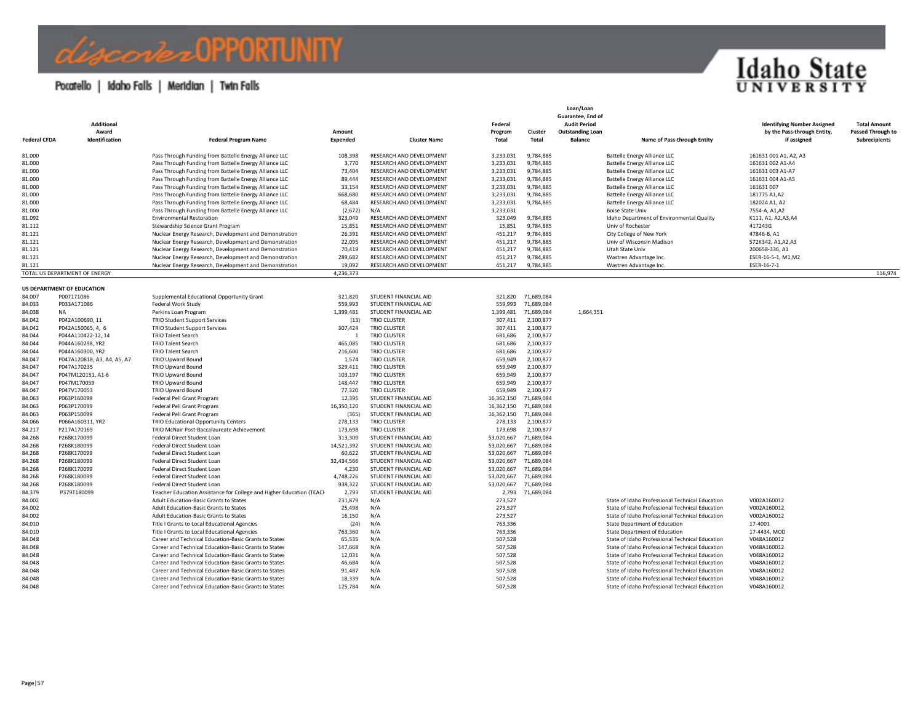### Pocatello | Idaho Falls | Meridian | Twin Falls

*Combel* DPPORTUNITY



| <b>Federal CFDA</b> | Additional<br>Award<br>Identification | <b>Federal Program Name</b>                                                                                      | Amount<br>Expended    | <b>Cluster Name</b>                                  | Federal<br>Program<br>Total | Cluster<br>Total         | Loan/Loan<br>Guarantee, End of<br><b>Audit Period</b><br><b>Outstanding Loan</b><br><b>Balance</b><br>Name of Pass-through Entity | <b>Identifying Number Assigned</b><br>by the Pass-through Entity,<br>if assigned | <b>Total Amount</b><br>Passed Through to<br>Subrecipients |
|---------------------|---------------------------------------|------------------------------------------------------------------------------------------------------------------|-----------------------|------------------------------------------------------|-----------------------------|--------------------------|-----------------------------------------------------------------------------------------------------------------------------------|----------------------------------------------------------------------------------|-----------------------------------------------------------|
|                     |                                       |                                                                                                                  |                       |                                                      |                             |                          |                                                                                                                                   |                                                                                  |                                                           |
| 81.000              |                                       | Pass Through Funding from Battelle Energy Alliance LLC                                                           | 108,398               | RESEARCH AND DEVELOPMENT                             | 3,233,031                   | 9,784,885                | Battelle Energy Alliance LLC                                                                                                      | 161631 001 A1, A2, A3                                                            |                                                           |
| 81.000<br>81.000    |                                       | Pass Through Funding from Battelle Energy Alliance LLC<br>Pass Through Funding from Battelle Energy Alliance LLC | 3,770<br>73,404       | RESEARCH AND DEVELOPMENT<br>RESEARCH AND DEVELOPMENT | 3,233,031<br>3,233,031      | 9,784,885<br>9,784,885   | <b>Battelle Energy Alliance LLC</b><br><b>Battelle Energy Alliance LLC</b>                                                        | 161631 002 A1-A4<br>161631 003 A1-A7                                             |                                                           |
| 81.000              |                                       | Pass Through Funding from Battelle Energy Alliance LLC                                                           | 89,444                | RESEARCH AND DEVELOPMENT                             | 3,233,031                   | 9,784,885                | <b>Battelle Energy Alliance LLC</b>                                                                                               | 161631 004 A1-A5                                                                 |                                                           |
| 81,000              |                                       | Pass Through Funding from Battelle Energy Alliance LLC                                                           | 33,154                | RESEARCH AND DEVELOPMENT                             | 3,233,031                   | 9,784,885                | <b>Battelle Energy Alliance LLC</b>                                                                                               | 161631 007                                                                       |                                                           |
| 81.000              |                                       | Pass Through Funding from Battelle Energy Alliance LLC                                                           | 668,680               | RESEARCH AND DEVELOPMENT                             | 3,233,031                   | 9,784,885                | <b>Battelle Energy Alliance LLC</b>                                                                                               | 181775 A1,A2                                                                     |                                                           |
| 81,000              |                                       | Pass Through Funding from Battelle Energy Alliance LLC                                                           | 68,484                | RESEARCH AND DEVELOPMENT                             | 3,233,031                   | 9,784,885                | <b>Battelle Energy Alliance LLC</b>                                                                                               | 182024 A1, A2                                                                    |                                                           |
| 81.000              |                                       | Pass Through Funding from Battelle Energy Alliance LLC                                                           | (2,672)               | N/A                                                  | 3,233,031                   |                          | <b>Boise State Univ</b>                                                                                                           | 7554-A, A1, A2                                                                   |                                                           |
| 81.092              |                                       | <b>Environmental Restoration</b>                                                                                 | 323,049               | RESEARCH AND DEVELOPMENT                             | 323,049                     | 9,784,885                | Idaho Department of Environmental Quality                                                                                         | K111, A1, A2, A3, A4                                                             |                                                           |
| 81.112              |                                       | Stewardship Science Grant Program                                                                                | 15,851                | RESEARCH AND DEVELOPMENT                             | 15,851                      | 9,784,885                | Univ of Rochester                                                                                                                 | 417243G                                                                          |                                                           |
| 81.121              |                                       | Nuclear Energy Research, Development and Demonstration                                                           | 26,391                | RESEARCH AND DEVELOPMENT                             | 451,217                     | 9,784,885                | City College of New York                                                                                                          | 47846-B, A1                                                                      |                                                           |
| 81.121              |                                       | Nuclear Energy Research, Development and Demonstration                                                           | 22.095                | RESEARCH AND DEVELOPMENT                             | 451,217                     | 9.784.885                | Univ of Wisconsin Madison                                                                                                         | 572K342, A1, A2, A3                                                              |                                                           |
| 81.121              |                                       | Nuclear Energy Research, Development and Demonstration                                                           | 70,419                | RESEARCH AND DEVELOPMENT                             | 451,217                     | 9,784,885                | Utah State Univ                                                                                                                   | 200658-336, A1                                                                   |                                                           |
| 81.121              |                                       | Nuclear Energy Research, Development and Demonstration                                                           | 289,682               | RESEARCH AND DEVELOPMENT                             | 451,217                     | 9,784,885                | Wastren Advantage Inc.                                                                                                            | ESER-16-5-1, M1, M2                                                              |                                                           |
| 81.121              |                                       | Nuclear Energy Research, Development and Demonstration                                                           | 19,092                | RESEARCH AND DEVELOPMENT                             | 451,217                     | 9,784,885                | Wastren Advantage Inc.                                                                                                            | ESER-16-7-1                                                                      |                                                           |
|                     | TOTAL US DEPARTMENT OF ENERGY         |                                                                                                                  | 4,236,373             |                                                      |                             |                          |                                                                                                                                   |                                                                                  | 116,974                                                   |
|                     | US DEPARTMENT OF EDUCATION            |                                                                                                                  |                       |                                                      |                             |                          |                                                                                                                                   |                                                                                  |                                                           |
| 84.007              | P007171086                            | Supplemental Educational Opportunity Grant                                                                       | 321,820               | STUDENT FINANCIAL AID                                | 321,820                     | 71,689,084               |                                                                                                                                   |                                                                                  |                                                           |
| 84.033              | P033A171086                           | Federal Work Study                                                                                               | 559,993               | STUDENT FINANCIAL AID                                | 559,993                     | 71,689,084               |                                                                                                                                   |                                                                                  |                                                           |
| 84.038              | <b>NA</b>                             | Perkins Loan Program                                                                                             | 1,399,481             | STUDENT FINANCIAL AID                                | 1,399,481                   | 71,689,084               | 1,664,351                                                                                                                         |                                                                                  |                                                           |
| 84.042              | P042A100690, 11                       | <b>TRIO Student Support Services</b>                                                                             | (13)                  | <b>TRIO CLUSTER</b>                                  | 307,411                     | 2,100,877                |                                                                                                                                   |                                                                                  |                                                           |
| 84.042              | P042A150065, 4, 6                     | <b>TRIO Student Support Services</b>                                                                             | 307.424               | <b>TRIO CLUSTER</b>                                  | 307,411                     | 2,100,877                |                                                                                                                                   |                                                                                  |                                                           |
| 84.044              | P044A110422-12, 14                    | <b>TRIO Talent Search</b>                                                                                        | $\overline{1}$        | <b>TRIO CLUSTER</b>                                  | 681,686                     | 2,100,877                |                                                                                                                                   |                                                                                  |                                                           |
| 84.044              | P044A160298, YR2                      | <b>TRIO Talent Search</b>                                                                                        | 465,085               | <b>TRIO CLUSTER</b>                                  | 681,686                     | 2,100,877                |                                                                                                                                   |                                                                                  |                                                           |
| 84.044              | P044A160300, YR2                      | <b>TRIO Talent Search</b>                                                                                        | 216,600               | <b>TRIO CLUSTER</b>                                  | 681,686                     | 2,100,877                |                                                                                                                                   |                                                                                  |                                                           |
| 84.047              | P047A120818, A3, A4, A5, A7           | <b>TRIO Upward Bound</b>                                                                                         | 1,574                 | <b>TRIO CLUSTER</b>                                  | 659,949                     | 2,100,877                |                                                                                                                                   |                                                                                  |                                                           |
| 84.047              | P047A170235                           | <b>TRIO Upward Bound</b>                                                                                         | 329,411               | <b>TRIO CLUSTER</b>                                  | 659,949                     | 2,100,877                |                                                                                                                                   |                                                                                  |                                                           |
| 84.047              | P047M120151, A1-6                     | <b>TRIO Upward Bound</b>                                                                                         | 103,197               | <b>TRIO CLUSTER</b>                                  | 659,949                     | 2,100,877                |                                                                                                                                   |                                                                                  |                                                           |
| 84.047              | P047M170059                           | <b>TRIO Upward Bound</b>                                                                                         | 148,447               | <b>TRIO CLUSTER</b>                                  | 659,949                     | 2,100,877                |                                                                                                                                   |                                                                                  |                                                           |
| 84.047              | P047V170053                           | <b>TRIO Upward Bound</b>                                                                                         | 77,320                | <b>TRIO CLUSTER</b>                                  | 659,949                     | 2,100,877                |                                                                                                                                   |                                                                                  |                                                           |
| 84.063              | P063P160099                           | Federal Pell Grant Program                                                                                       | 12,395                | STUDENT FINANCIAL AID                                | 16,362,150                  | 71,689,084               |                                                                                                                                   |                                                                                  |                                                           |
| 84.063              | P063P170099                           | Federal Pell Grant Program                                                                                       | 16,350,120            | STUDENT FINANCIAL AID                                | 16,362,150                  | 71,689,084               |                                                                                                                                   |                                                                                  |                                                           |
| 84.063              | P063P150099                           | Federal Pell Grant Program                                                                                       | (365)                 | STUDENT FINANCIAL AID                                | 16,362,150                  | 71,689,084               |                                                                                                                                   |                                                                                  |                                                           |
| 84.066              | P066A160311, YR2                      | <b>TRIO Educational Opportunity Centers</b>                                                                      | 278,133               | <b>TRIO CLUSTER</b>                                  | 278,133                     | 2,100,877                |                                                                                                                                   |                                                                                  |                                                           |
| 84.217              | P217A170169                           | TRIO McNair Post-Baccalaureate Achievement                                                                       | 173,698               | <b>TRIO CLUSTER</b>                                  | 173,698                     | 2,100,877                |                                                                                                                                   |                                                                                  |                                                           |
| 84.268<br>84.268    | P268K170099<br>P268K180099            | Federal Direct Student Loan<br>Federal Direct Student Loan                                                       | 313,309<br>14,521,392 | STUDENT FINANCIAL AID<br>STUDENT FINANCIAL AID       | 53,020,667<br>53,020,667    | 71,689,084<br>71,689,084 |                                                                                                                                   |                                                                                  |                                                           |
| 84.268              | P268K170099                           | Federal Direct Student Loan                                                                                      | 60,622                | STUDENT FINANCIAL AID                                | 53,020,667                  | 71,689,084               |                                                                                                                                   |                                                                                  |                                                           |
| 84.268              | P268K180099                           | Federal Direct Student Loan                                                                                      | 32,434,566            | STUDENT FINANCIAL AID                                | 53,020,667                  | 71,689,084               |                                                                                                                                   |                                                                                  |                                                           |
| 84.268              | P268K170099                           | Federal Direct Student Loan                                                                                      | 4,230                 | STUDENT FINANCIAL AID                                | 53,020,667                  | 71,689,084               |                                                                                                                                   |                                                                                  |                                                           |
| 84.268              | P268K180099                           | Federal Direct Student Loan                                                                                      | 4,748,226             | STUDENT FINANCIAL AID                                | 53,020,667                  | 71,689,084               |                                                                                                                                   |                                                                                  |                                                           |
| 84.268              | P268K180099                           | Federal Direct Student Loan                                                                                      | 938,322               | STUDENT FINANCIAL AID                                | 53,020,667                  | 71,689,084               |                                                                                                                                   |                                                                                  |                                                           |
| 84.379              | P379T180099                           | Teacher Education Assistance for College and Higher Education (TEACH                                             | 2,793                 | STUDENT FINANCIAL AID                                | 2,793                       | 71,689,084               |                                                                                                                                   |                                                                                  |                                                           |
| 84.002              |                                       | Adult Education-Basic Grants to States                                                                           | 231,879               | N/A                                                  | 273,527                     |                          | State of Idaho Professional Technical Education                                                                                   | V002A160012                                                                      |                                                           |
| 84.002              |                                       | Adult Education-Basic Grants to States                                                                           | 25,498                | N/A                                                  | 273,527                     |                          | State of Idaho Professional Technical Education                                                                                   | V002A160012                                                                      |                                                           |
| 84.002              |                                       | Adult Education-Basic Grants to States                                                                           | 16,150                | N/A                                                  | 273,527                     |                          | State of Idaho Professional Technical Education                                                                                   | V002A160012                                                                      |                                                           |
| 84.010              |                                       | Title I Grants to Local Educational Agencies                                                                     | (24)                  | N/A                                                  | 763,336                     |                          | State Department of Education                                                                                                     | 17-4001                                                                          |                                                           |
| 84.010              |                                       | Title I Grants to Local Educational Agencies                                                                     | 763,360               | N/A                                                  | 763,336                     |                          | State Department of Education                                                                                                     | 17-4434, MOD                                                                     |                                                           |
| 84.048              |                                       | Career and Technical Education-Basic Grants to States                                                            | 65,535                | N/A                                                  | 507,528                     |                          | State of Idaho Professional Technical Education                                                                                   | V048A160012                                                                      |                                                           |
| 84.048              |                                       | Career and Technical Education-Basic Grants to States                                                            | 147,668               | N/A                                                  | 507,528                     |                          | State of Idaho Professional Technical Education                                                                                   | V048A160012                                                                      |                                                           |
| 84.048              |                                       | Career and Technical Education-Basic Grants to States                                                            | 12,031                | N/A                                                  | 507,528                     |                          | State of Idaho Professional Technical Education                                                                                   | V048A160012                                                                      |                                                           |
| 84.048              |                                       | Career and Technical Education-Basic Grants to States                                                            | 46,684                | N/A                                                  | 507,528                     |                          | State of Idaho Professional Technical Education                                                                                   | V048A160012                                                                      |                                                           |
| 84.048              |                                       | Career and Technical Education-Basic Grants to States                                                            | 91,487                | N/A                                                  | 507,528                     |                          | State of Idaho Professional Technical Education                                                                                   | V048A160012                                                                      |                                                           |
| 84.048              |                                       | Career and Technical Education-Basic Grants to States                                                            | 18,339                | N/A                                                  | 507,528                     |                          | State of Idaho Professional Technical Education                                                                                   | V048A160012                                                                      |                                                           |
| 84.048              |                                       | Career and Technical Education-Basic Grants to States                                                            | 125,784               | N/A                                                  | 507,528                     |                          | State of Idaho Professional Technical Education                                                                                   | V048A160012                                                                      |                                                           |